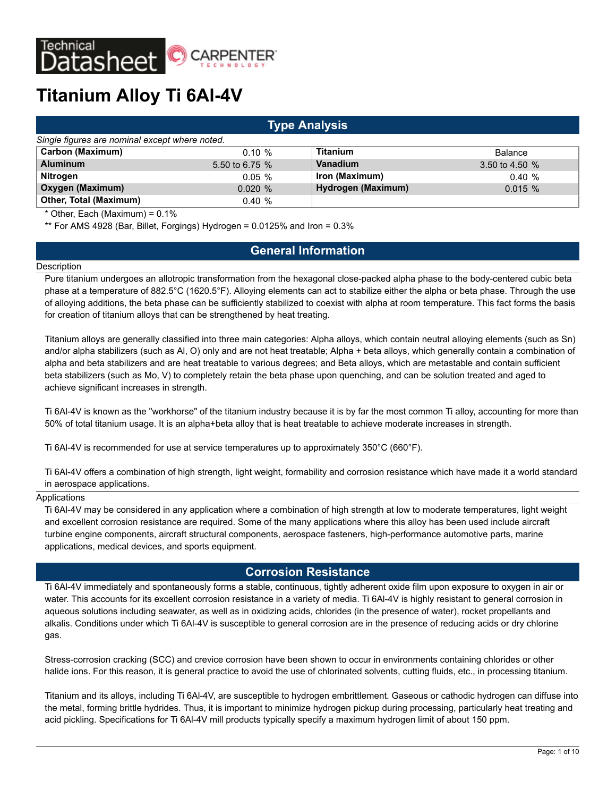

| <b>Type Analysis</b>                           |                  |                    |                |  |  |  |  |  |  |  |
|------------------------------------------------|------------------|--------------------|----------------|--|--|--|--|--|--|--|
| Single figures are nominal except where noted. |                  |                    |                |  |  |  |  |  |  |  |
| Carbon (Maximum)                               | $0.10 \%$        | <b>Titanium</b>    | Balance        |  |  |  |  |  |  |  |
| <b>Aluminum</b>                                | 5.50 to 6.75 $%$ | Vanadium           | 3.50 to 4.50 % |  |  |  |  |  |  |  |
| Nitrogen                                       | $0.05 \%$        | Iron (Maximum)     | 0.40%          |  |  |  |  |  |  |  |
| Oxygen (Maximum)                               | 0.020%           | Hydrogen (Maximum) | $0.015 \%$     |  |  |  |  |  |  |  |
| <b>Other, Total (Maximum)</b>                  | 0.40%            |                    |                |  |  |  |  |  |  |  |

\* Other, Each (Maximum) = 0.1%

\*\* For AMS 4928 (Bar, Billet, Forgings) Hydrogen = 0.0125% and Iron = 0.3%

# **General Information**

#### **Description**

Pure titanium undergoes an allotropic transformation from the hexagonal close-packed alpha phase to the body-centered cubic beta phase at a temperature of 882.5°C (1620.5°F). Alloying elements can act to stabilize either the alpha or beta phase. Through the use of alloying additions, the beta phase can be sufficiently stabilized to coexist with alpha at room temperature. This fact forms the basis for creation of titanium alloys that can be strengthened by heat treating.

Titanium alloys are generally classified into three main categories: Alpha alloys, which contain neutral alloying elements (such as Sn) and/or alpha stabilizers (such as Al, O) only and are not heat treatable; Alpha + beta alloys, which generally contain a combination of alpha and beta stabilizers and are heat treatable to various degrees; and Beta alloys, which are metastable and contain sufficient beta stabilizers (such as Mo, V) to completely retain the beta phase upon quenching, and can be solution treated and aged to achieve significant increases in strength.

Ti 6Al-4V is known as the "workhorse" of the titanium industry because it is by far the most common Ti alloy, accounting for more than 50% of total titanium usage. It is an alpha+beta alloy that is heat treatable to achieve moderate increases in strength.

Ti 6Al-4V is recommended for use at service temperatures up to approximately 350°C (660°F).

Ti 6Al-4V offers a combination of high strength, light weight, formability and corrosion resistance which have made it a world standard in aerospace applications.

### Applications

Ti 6Al-4V may be considered in any application where a combination of high strength at low to moderate temperatures, light weight and excellent corrosion resistance are required. Some of the many applications where this alloy has been used include aircraft turbine engine components, aircraft structural components, aerospace fasteners, high-performance automotive parts, marine applications, medical devices, and sports equipment.

## **Corrosion Resistance**

Ti 6Al-4V immediately and spontaneously forms a stable, continuous, tightly adherent oxide film upon exposure to oxygen in air or water. This accounts for its excellent corrosion resistance in a variety of media. Ti 6Al-4V is highly resistant to general corrosion in aqueous solutions including seawater, as well as in oxidizing acids, chlorides (in the presence of water), rocket propellants and alkalis. Conditions under which Ti 6Al-4V is susceptible to general corrosion are in the presence of reducing acids or dry chlorine gas.

Stress-corrosion cracking (SCC) and crevice corrosion have been shown to occur in environments containing chlorides or other halide ions. For this reason, it is general practice to avoid the use of chlorinated solvents, cutting fluids, etc., in processing titanium.

Titanium and its alloys, including Ti 6Al-4V, are susceptible to hydrogen embrittlement. Gaseous or cathodic hydrogen can diffuse into the metal, forming brittle hydrides. Thus, it is important to minimize hydrogen pickup during processing, particularly heat treating and acid pickling. Specifications for Ti 6Al-4V mill products typically specify a maximum hydrogen limit of about 150 ppm.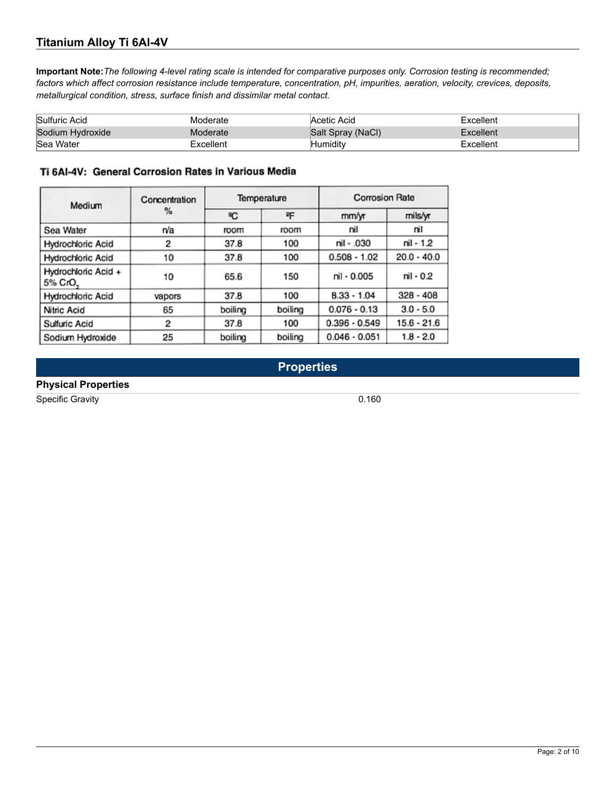**Important Note:***The following 4-level rating scale is intended for comparative purposes only. Corrosion testing is recommended; factors which affect corrosion resistance include temperature, concentration, pH, impurities, aeration, velocity, crevices, deposits, metallurgical condition, stress, surface finish and dissimilar metal contact.*

| Sulfuric Acid    | Moderate  | Acetic Acid       | Excellent |
|------------------|-----------|-------------------|-----------|
| Sodium Hydroxide | Moderate  | Salt Spray (NaCl) | Excellent |
| Sea Water        | Excellent | lHumiditv         | Excellent |

#### Ti 6AI-4V: General Corrosion Rates in Various Media

| Medium                         | Concentration |         | Temperature | <b>Corrosion Rate</b> |               |  |
|--------------------------------|---------------|---------|-------------|-----------------------|---------------|--|
|                                | %             | ٩C      | 吘           | mm/yr                 | mils/yr       |  |
| Sea Water                      | rva           | room    | room        | nil                   | nil           |  |
| Hydrochloric Acid              | 2             | 37.8    | 100         | nil - .030            | nil - 1.2     |  |
| Hydrochloric Acid              | 10            | 37.8    | 100         | $0.508 - 1.02$        | $20.0 - 40.0$ |  |
| Hydrochloric Acid +<br>5% CrO. | 10            | 65.6    | 150         | nil - 0.005           | nil - 0.2     |  |
| Hydrochloric Acid              | vapors        | 37.8    | 100         | $8.33 - 1.04$         | $328 - 408$   |  |
| Nitric Acid                    | 65            | boiling | boiling     | $0.076 - 0.13$        | $3.0 - 5.0$   |  |
| Sulfuric Acid                  | 2             | 37.8    | 100         | $0.396 - 0.549$       | $15.6 - 21.6$ |  |
| Sodium Hydroxide               | 25            | boiling | boiling     | $0.046 - 0.051$       | $1.8 - 2.0$   |  |

**Properties**

## **Physical Properties**

Specific Gravity 0.160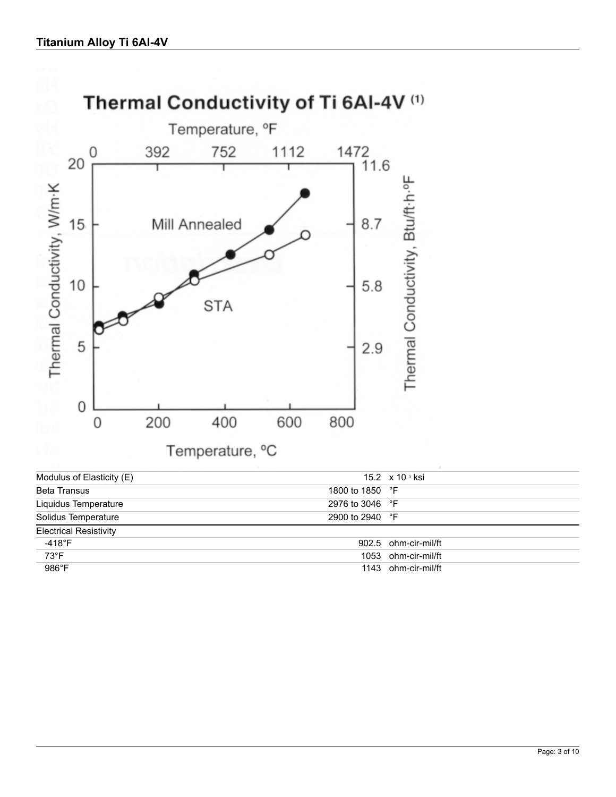

73°F 1053 ohm-cir-mil/ft 986°F 1143 ohm-cir-mil/ft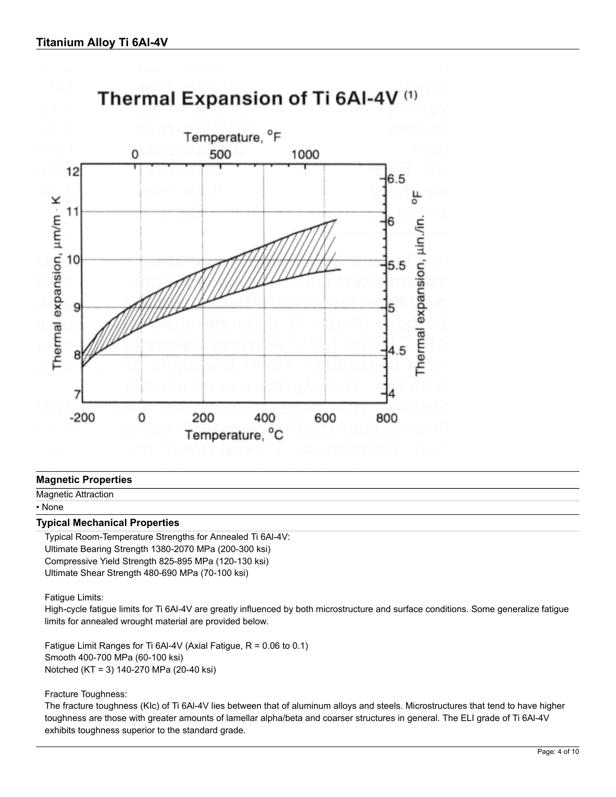

# Thermal Expansion of Ti 6AI-4V (1)

#### **Magnetic Properties**

Magnetic Attraction

# • None

#### **Typical Mechanical Properties**

Typical Room-Temperature Strengths for Annealed Ti 6Al-4V: Ultimate Bearing Strength 1380-2070 MPa (200-300 ksi) Compressive Yield Strength 825-895 MPa (120-130 ksi) Ultimate Shear Strength 480-690 MPa (70-100 ksi)

#### Fatigue Limits:

High-cycle fatigue limits for Ti 6Al-4V are greatly influenced by both microstructure and surface conditions. Some generalize fatigue limits for annealed wrought material are provided below.

Fatigue Limit Ranges for Ti 6Al-4V (Axial Fatigue, R = 0.06 to 0.1) Smooth 400-700 MPa (60-100 ksi) Notched (KT = 3) 140-270 MPa (20-40 ksi)

#### Fracture Toughness:

The fracture toughness (KIc) of Ti 6Al-4V lies between that of aluminum alloys and steels. Microstructures that tend to have higher toughness are those with greater amounts of lamellar alpha/beta and coarser structures in general. The ELI grade of Ti 6Al-4V exhibits toughness superior to the standard grade.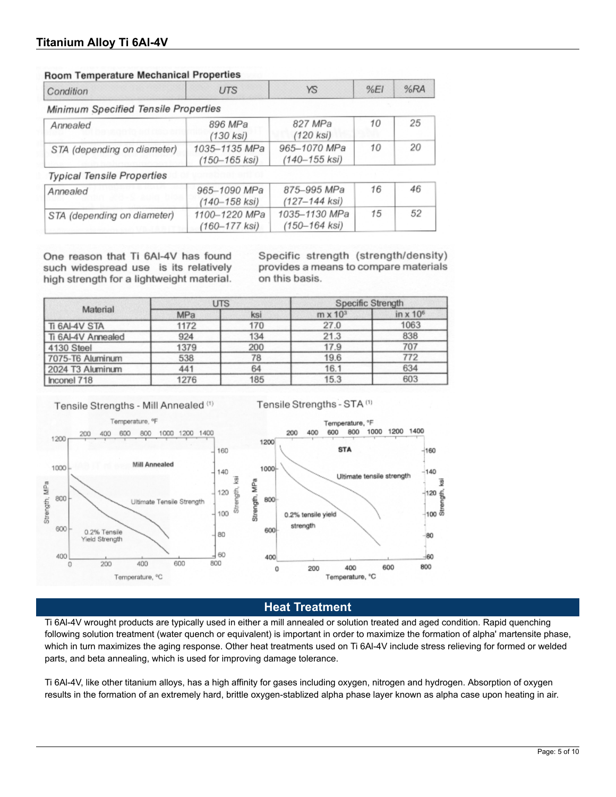#### **Room Temperature Mechanical Properties**

| Condition                            | <b>UTS</b>                         | YS                             | %E1 | %RA |
|--------------------------------------|------------------------------------|--------------------------------|-----|-----|
| Minimum Specified Tensile Properties |                                    |                                |     |     |
| Annealed                             | 896 MPa<br>$(130$ ksi $)$          | 827 MPa<br>$(120$ ksi $)$      | 10  | 25  |
| STA (depending on diameter)          | 1035-1135 MPa<br>$(150 - 165$ ksi) | 965-1070 MPa<br>(140-155 ksi)  | 10  | 20  |
| <b>Typical Tensile Properties</b>    |                                    |                                |     |     |
| Annealed                             | 965-1090 MPa<br>$(140 - 158$ ksi)  | 875-995 MPa<br>(127–144 ksi)   | 16  | 46  |
| STA (depending on diameter)          | 1100-1220 MPa<br>$(160 - 177$ ksi) | 1035-1130 MPa<br>(150-164 ksi) | 15  | 52  |

One reason that Ti 6AI-4V has found such widespread use is its relatively high strength for a lightweight material.

Specific strength (strength/density) provides a means to compare materials on this basis.

|                    | UTS  |     | Specific Strength |                  |  |
|--------------------|------|-----|-------------------|------------------|--|
| Material           | MPa  | ksi | $m \times 10^3$   | in $\times 10^6$ |  |
| Ti 6AI-4V STA      | 1172 | 170 | 27.0              | 1063             |  |
| Ti 6Al-4V Annealed | 924  | 134 | 21.3              | 838              |  |
| 4130 Steel         | 1379 | 200 | 17.9              | 707              |  |
| 7075-T6 Aluminum   | 538  | 78  | 19.6              | 772              |  |
| 2024 T3 Aluminum   | 441  | 64  | 16.1              | 634              |  |
| Inconel 718        | 1276 | 185 | 15.3              | 603              |  |

Tensile Strengths - Mill Annealed (1)

Tensile Strengths - STA<sup>(1)</sup>







**Heat Treatment**

Ti 6Al-4V wrought products are typically used in either a mill annealed or solution treated and aged condition. Rapid quenching following solution treatment (water quench or equivalent) is important in order to maximize the formation of alpha' martensite phase, which in turn maximizes the aging response. Other heat treatments used on Ti 6Al-4V include stress relieving for formed or welded parts, and beta annealing, which is used for improving damage tolerance.

Ti 6Al-4V, like other titanium alloys, has a high affinity for gases including oxygen, nitrogen and hydrogen. Absorption of oxygen results in the formation of an extremely hard, brittle oxygen-stablized alpha phase layer known as alpha case upon heating in air.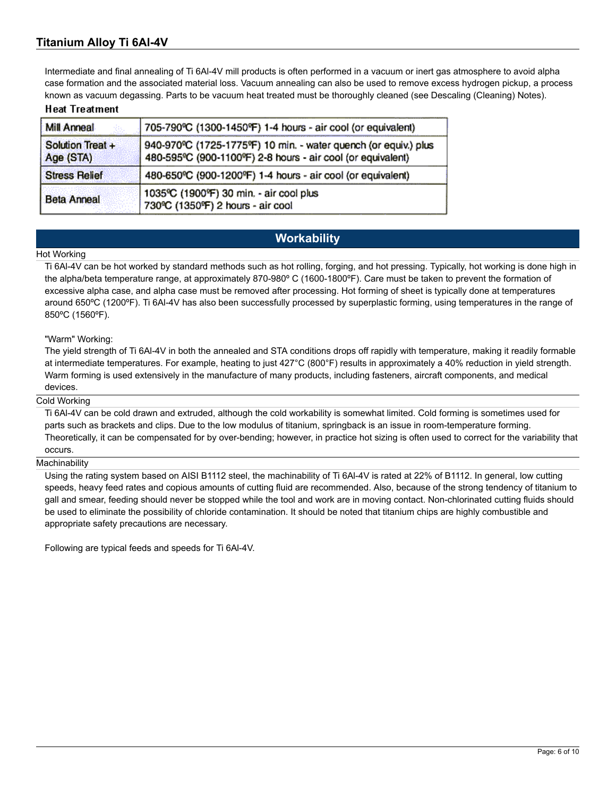Intermediate and final annealing of Ti 6Al-4V mill products is often performed in a vacuum or inert gas atmosphere to avoid alpha case formation and the associated material loss. Vacuum annealing can also be used to remove excess hydrogen pickup, a process known as vacuum degassing. Parts to be vacuum heat treated must be thoroughly cleaned (see Descaling (Cleaning) Notes).

#### **Heat Treatment**

| Mill Anneal                   | 705-790°C (1300-1450°F) 1-4 hours - air cool (or equivalent)                                                                   |
|-------------------------------|--------------------------------------------------------------------------------------------------------------------------------|
| Solution Treat +<br>Age (STA) | 940-970°C (1725-1775°F) 10 min. - water quench (or equiv.) plus<br>480-595°C (900-1100°F) 2-8 hours - air cool (or equivalent) |
| <b>Stress Relief</b>          | 480-650°C (900-1200°F) 1-4 hours - air cool (or equivalent)                                                                    |
| <b>Beta Anneal</b>            | 1035°C (1900°F) 30 min. - air cool plus<br>730°C (1350°F) 2 hours - air cool                                                   |

# **Workability**

#### Hot Working

Ti 6Al-4V can be hot worked by standard methods such as hot rolling, forging, and hot pressing. Typically, hot working is done high in the alpha/beta temperature range, at approximately 870-980º C (1600-1800ºF). Care must be taken to prevent the formation of excessive alpha case, and alpha case must be removed after processing. Hot forming of sheet is typically done at temperatures around 650ºC (1200ºF). Ti 6Al-4V has also been successfully processed by superplastic forming, using temperatures in the range of 850ºC (1560ºF).

#### "Warm" Working:

The yield strength of Ti 6Al-4V in both the annealed and STA conditions drops off rapidly with temperature, making it readily formable at intermediate temperatures. For example, heating to just 427°C (800°F) results in approximately a 40% reduction in yield strength. Warm forming is used extensively in the manufacture of many products, including fasteners, aircraft components, and medical devices.

#### Cold Working

Ti 6Al-4V can be cold drawn and extruded, although the cold workability is somewhat limited. Cold forming is sometimes used for parts such as brackets and clips. Due to the low modulus of titanium, springback is an issue in room-temperature forming. Theoretically, it can be compensated for by over-bending; however, in practice hot sizing is often used to correct for the variability that occurs.

#### **Machinability**

Using the rating system based on AISI B1112 steel, the machinability of Ti 6Al-4V is rated at 22% of B1112. In general, low cutting speeds, heavy feed rates and copious amounts of cutting fluid are recommended. Also, because of the strong tendency of titanium to gall and smear, feeding should never be stopped while the tool and work are in moving contact. Non-chlorinated cutting fluids should be used to eliminate the possibility of chloride contamination. It should be noted that titanium chips are highly combustible and appropriate safety precautions are necessary.

Following are typical feeds and speeds for Ti 6Al-4V.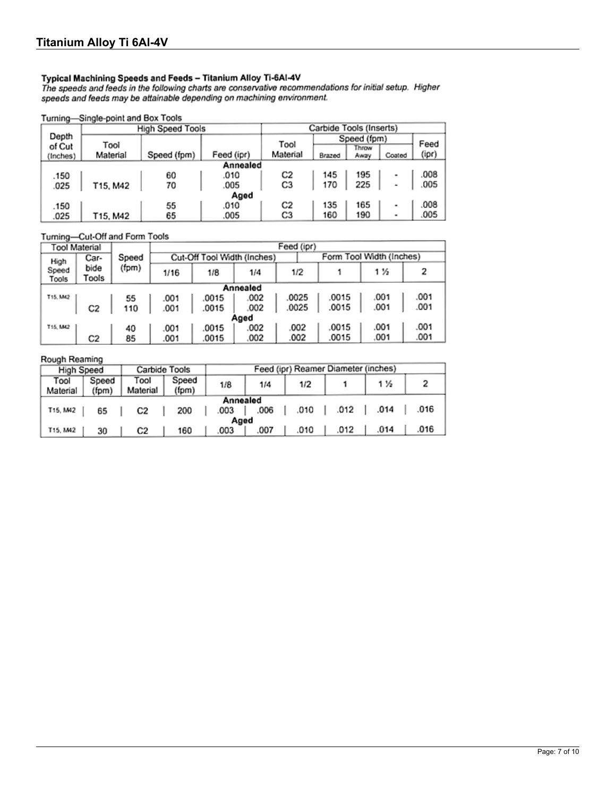Typical Machining Speeds and Feeds - Titanium Alloy Ti-6AI-4V<br>The speeds and feeds in the following charts are conservative recommendations for initial setup. Higher<br>speeds and feeds may be attainable depending on machinin

#### Turning-Single-point and Box Tools

|          | <b>High Speed Tools</b> | Carbide Tools (Inserts) |            |          |        |             |                |       |  |  |  |  |
|----------|-------------------------|-------------------------|------------|----------|--------|-------------|----------------|-------|--|--|--|--|
| Depth    |                         |                         |            | Tool     |        | Speed (fpm) |                | Feed  |  |  |  |  |
| of Cut   | Tool                    |                         |            |          |        | Throw       |                |       |  |  |  |  |
| (Inches) | Material                | Speed (fpm)             | Feed (ipr) | Material | Brazed | Away        | Coated         | (ipr) |  |  |  |  |
|          | Annealed                |                         |            |          |        |             |                |       |  |  |  |  |
| .150     |                         | 60                      | .010       | C2       | 145    | 195         | ۰              | 008   |  |  |  |  |
| .025     | T15, M42                | 70                      | .005       | C3       | 170    | 225         | ۰              | .005  |  |  |  |  |
|          | Aged                    |                         |            |          |        |             |                |       |  |  |  |  |
| .150     |                         | 55                      | .010       | C2       | 135    | 165         | $\blacksquare$ | .008  |  |  |  |  |
| .025     | T15, M42                | 65                      | .005       | C3       | 160    | 190         | ۰              | .005  |  |  |  |  |

#### Turning-Cut-Off and Form Tools

|                | <b>Tool Material</b> |       | Feed (ipr) |       |                                                         |       |       |      |      |  |  |  |
|----------------|----------------------|-------|------------|-------|---------------------------------------------------------|-------|-------|------|------|--|--|--|
| High           | Car-                 | Speed |            |       | Form Tool Width (Inches)<br>Cut-Off Tool Width (Inches) |       |       |      |      |  |  |  |
| Speed<br>Tools | bide<br>Tools        | (fpm) | 1/16       | 1/8   | 1/4                                                     | 1/2   |       | 1%   |      |  |  |  |
| Annealed       |                      |       |            |       |                                                         |       |       |      |      |  |  |  |
| T15, M42       |                      | 55    | .001       | .0015 | 002                                                     | .0025 | 0015  | .001 | .001 |  |  |  |
|                | C2                   | 110   | .001       | .0015 | .002                                                    | .0025 | .0015 | .001 | .001 |  |  |  |
|                | Aged                 |       |            |       |                                                         |       |       |      |      |  |  |  |
| T15, M42       |                      | 40    | .001       | .0015 | .002                                                    | .002  | .0015 | .001 | .001 |  |  |  |
|                | C2                   | 85    | .001       | .0015 | 002                                                     | .002  | .0015 | .001 | .001 |  |  |  |

#### Rough Reaming

| <b>High Speed</b> |                | Carbide Tools    |                |      |      |      | Feed (ipr) Reamer Diameter (inches) |      |      |  |
|-------------------|----------------|------------------|----------------|------|------|------|-------------------------------------|------|------|--|
| Tool<br>Material  | Speed<br>(fom) | Tool<br>Material | Speed<br>(fpm) | 1/8  | 1/4  | 1/2  |                                     | 1 %  |      |  |
| Annealed          |                |                  |                |      |      |      |                                     |      |      |  |
| T15, M42          | 65             | C2               | 200            | .003 | .006 | .010 | .012                                | .014 | .016 |  |
| Aged              |                |                  |                |      |      |      |                                     |      |      |  |
| T15, M42          | 30             | C2               | 160            | .003 | .007 | .010 | .012                                | .014 | .016 |  |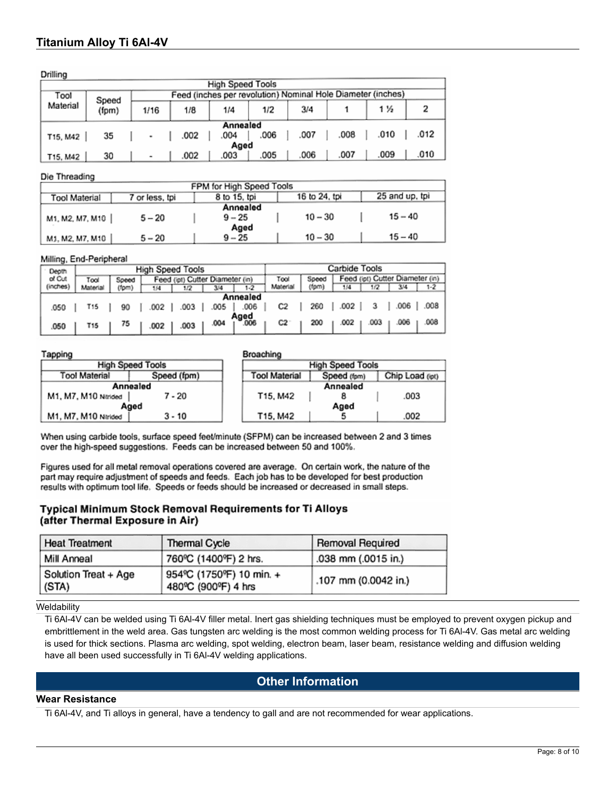Drillion

| $\frac{1}{2}$                                                       |                |      |      |          |      |      |      |      |      |  |  |
|---------------------------------------------------------------------|----------------|------|------|----------|------|------|------|------|------|--|--|
| <b>High Speed Tools</b>                                             |                |      |      |          |      |      |      |      |      |  |  |
| Feed (inches per revolution) Nominal Hole Diameter (inches)<br>Tool |                |      |      |          |      |      |      |      |      |  |  |
| Material                                                            | Speed<br>(fpm) | 1/16 | 1/8  | 1/4      | 1/2  | 3/4  |      | 1 ½  |      |  |  |
|                                                                     |                |      |      | Annealed |      |      |      |      |      |  |  |
| T15, M42                                                            | 35             | ٠    | .002 | .004     | .006 | .007 | .008 | .010 | .012 |  |  |
| Aged                                                                |                |      |      |          |      |      |      |      |      |  |  |
| T15, M42                                                            | 30             | ۰    | .002 | .003     | .005 | 006  | .007 | .009 | .010 |  |  |

#### Die Threading

| FPM for High Speed Tools |                |              |               |                |  |  |  |  |  |  |
|--------------------------|----------------|--------------|---------------|----------------|--|--|--|--|--|--|
| Tool Material            | 7 or less, tpi | 8 to 15, tpi | 16 to 24, tpi | 25 and up, tpi |  |  |  |  |  |  |
| Annealed                 |                |              |               |                |  |  |  |  |  |  |
| M1, M2, M7, M10          | $5 - 20$       | $9 - 25$     | $10 - 30$     | $15 - 40$      |  |  |  |  |  |  |
| Aged                     |                |              |               |                |  |  |  |  |  |  |
| M1, M2, M7, M10          | $5 - 20$       | $9 - 25$     | $10 - 30$     | $15 - 40$      |  |  |  |  |  |  |

#### Milling, End-Peripheral

| Carbide Tools                                    |
|--------------------------------------------------|
| Feed (ipt) Cutter Diameter (in)<br>Speed<br>Tool |
| Material<br>(fpm)<br>$1-2$<br>1/4<br>1/2         |
|                                                  |
| .008<br>.006<br>260<br>.002<br>C2                |
|                                                  |
| .008<br>003<br>C2<br>200<br>.002                 |
|                                                  |

#### Tapping

#### **Broaching**

| a surge personal        |             |                                                        | ----------              |  |      |  |
|-------------------------|-------------|--------------------------------------------------------|-------------------------|--|------|--|
| <b>High Speed Tools</b> |             |                                                        | <b>High Speed Tools</b> |  |      |  |
| <b>Tool Material</b>    | Speed (fpm) | Chip Load (ipt)<br><b>Tool Material</b><br>Speed (fpm) |                         |  |      |  |
| Annealed                |             |                                                        | Annealed                |  |      |  |
| M1, M7, M10 Ntrided     | $7 - 20$    |                                                        | T15, M42                |  | .003 |  |
| Aged                    |             |                                                        | Aged                    |  |      |  |
| M1, M7, M10 Nirided     | $3 - 10$    |                                                        | T15, M42                |  | .002 |  |

When using carbide tools, surface speed feet/minute (SFPM) can be increased between 2 and 3 times over the high-speed suggestions. Feeds can be increased between 50 and 100%.

Figures used for all metal removal operations covered are average. On certain work, the nature of the part may require adjustment of speeds and feeds. Each job has to be developed for best production results with optimum tool life. Speeds or feeds should be increased or decreased in small steps.

#### Typical Minimum Stock Removal Requirements for Ti Alloys (after Thermal Exposure in Air)

| <b>Heat Treatment</b>           | Thermal Cycle                                   | Removal Required     |
|---------------------------------|-------------------------------------------------|----------------------|
| Mill Anneal                     | 760°C (1400°F) 2 hrs.                           | .038 mm (.0015 in.)  |
| Solution Treat + Age<br>  (STA) | 954°C (1750°F) 10 min. +<br>480°C (900°F) 4 hrs | .107 mm (0.0042 in.) |

#### **Weldability**

Ti 6Al-4V can be welded using Ti 6Al-4V filler metal. Inert gas shielding techniques must be employed to prevent oxygen pickup and embrittlement in the weld area. Gas tungsten arc welding is the most common welding process for Ti 6Al-4V. Gas metal arc welding is used for thick sections. Plasma arc welding, spot welding, electron beam, laser beam, resistance welding and diffusion welding have all been used successfully in Ti 6Al-4V welding applications.

# **Other Information**

#### **Wear Resistance**

Ti 6Al-4V, and Ti alloys in general, have a tendency to gall and are not recommended for wear applications.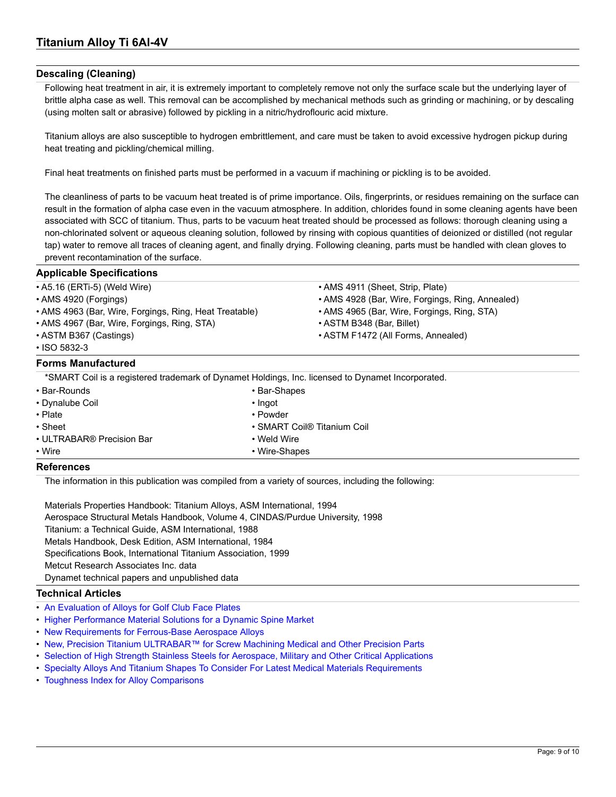#### **Descaling (Cleaning)**

Following heat treatment in air, it is extremely important to completely remove not only the surface scale but the underlying layer of brittle alpha case as well. This removal can be accomplished by mechanical methods such as grinding or machining, or by descaling (using molten salt or abrasive) followed by pickling in a nitric/hydroflouric acid mixture.

Titanium alloys are also susceptible to hydrogen embrittlement, and care must be taken to avoid excessive hydrogen pickup during heat treating and pickling/chemical milling.

Final heat treatments on finished parts must be performed in a vacuum if machining or pickling is to be avoided.

The cleanliness of parts to be vacuum heat treated is of prime importance. Oils, fingerprints, or residues remaining on the surface can result in the formation of alpha case even in the vacuum atmosphere. In addition, chlorides found in some cleaning agents have been associated with SCC of titanium. Thus, parts to be vacuum heat treated should be processed as follows: thorough cleaning using a non-chlorinated solvent or aqueous cleaning solution, followed by rinsing with copious quantities of deionized or distilled (not regular tap) water to remove all traces of cleaning agent, and finally drying. Following cleaning, parts must be handled with clean gloves to prevent recontamination of the surface.

• AMS 4911 (Sheet, Strip, Plate)

#### **Applicable Specifications**

|  |  | • A5.16 (ERTi-5) (Weld Wire) |  |  |
|--|--|------------------------------|--|--|
|--|--|------------------------------|--|--|

- AMS 4920 (Forgings) AMS 4928 (Bar, Wire, Forgings, Ring, Annealed)
- AMS 4963 (Bar, Wire, Forgings, Ring, Heat Treatable) AMS 4965 (Bar, Wire, Forgings, Ring, STA)
- AMS 4967 (Bar, Wire, Forgings, Ring, STA) ASTM B348 (Bar, Billet)
- ASTM B367 (Castings) ASTM F1472 (All Forms, Annealed)
- ISO 5832-3

#### **Forms Manufactured**

\*SMART Coil is a registered trademark of Dynamet Holdings, Inc. licensed to Dynamet Incorporated.

| • Bar-Rounds              |  | • Bar-Shapes                            |  |  |
|---------------------------|--|-----------------------------------------|--|--|
| • Dynalube Coil           |  | • Ingot                                 |  |  |
| $\cdot$ Plate             |  | • Powder                                |  |  |
| • Sheet                   |  | • SMART Coil <sup>®</sup> Titanium Coil |  |  |
| • ULTRABAR® Precision Bar |  | $\cdot$ Weld Wire                       |  |  |
| • Wire                    |  | • Wire-Shapes                           |  |  |

#### **References**

The information in this publication was compiled from a variety of sources, including the following:

Materials Properties Handbook: Titanium Alloys, ASM International, 1994 Aerospace Structural Metals Handbook, Volume 4, CINDAS/Purdue University, 1998 Titanium: a Technical Guide, ASM International, 1988 Metals Handbook, Desk Edition, ASM International, 1984 Specifications Book, International Titanium Association, 1999 Metcut Research Associates Inc. data Dynamet technical papers and unpublished data

#### **Technical Articles**

- • [An Evaluation of Alloys for Golf Club Face Plates](http://www.cartech.com/en/alloy-techzone/technical-information/alloy-selection/an-evaluation-of-alloys-for-golf-club-face-plates)
- • [Higher Performance Material Solutions for a Dynamic Spine Market](http://www.cartech.com/en/alloy-techzone/technical-information/technical-articles/higher-performance-material-solutions-for-a-dynamic-spine-market)
- • [New Requirements for Ferrous-Base Aerospace Alloys](http://www.cartech.com/en/alloy-techzone/technical-information/technical-articles/requirements-for-ferrous-base-aerospace-alloys)
- • [New, Precision Titanium ULTRABAR™ for Screw Machining Medical and Other Precision Parts](http://www.cartech.com/globalassets/literature-files/dynametultrabar_factsheet.pdf)
- • [Selection of High Strength Stainless Steels for Aerospace, Military and Other Critical Applications](http://www.cartech.com/en/alloy-techzone/technical-information/alloy-selection/selection-of-high-strength-stainless-steels-for-aerospace-military-and-other-critical-applications)
- • [Specialty Alloys And Titanium Shapes To Consider For Latest Medical Materials Requirements](http://www.cartech.com/en/alloy-techzone/technical-information/technical-articles/specialty-alloys-and-titanium-shapes-to-consider-for-latest-medical-materials-requirements)
- • [Toughness Index for Alloy Comparisons](http://www.cartech.com/en/alloy-techzone/technical-information/alloy-selection/toughness-index-for-alloy-comparisons)